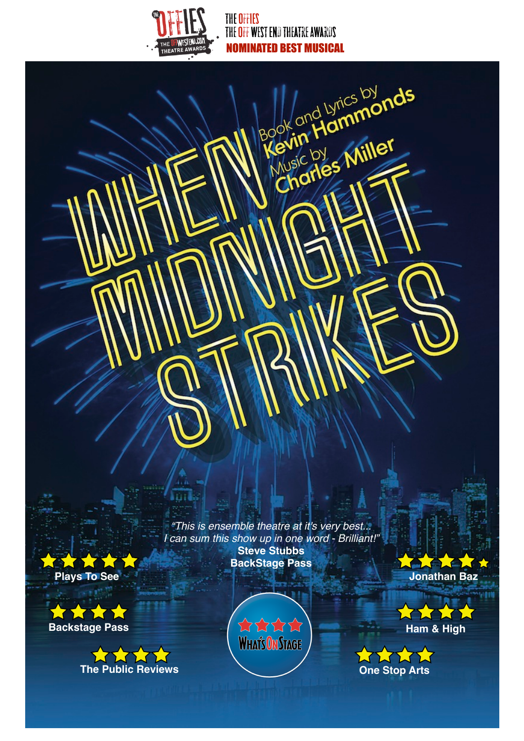

THE OFFIES THE OFF WEST END THEATRE AWARDS NOMINATED BEST MUSICAL

Charles Miller

*"This is ensemble theatre at it's very best... I can sum this show up in one word - Brilliant!"* **Steve Stubbs BackStage Pass**

**PARTIA Plays To See**

XXXX **Backstage Pass**







**Jonathan Baz**

ALC LE

WWWW **One Stop Arts**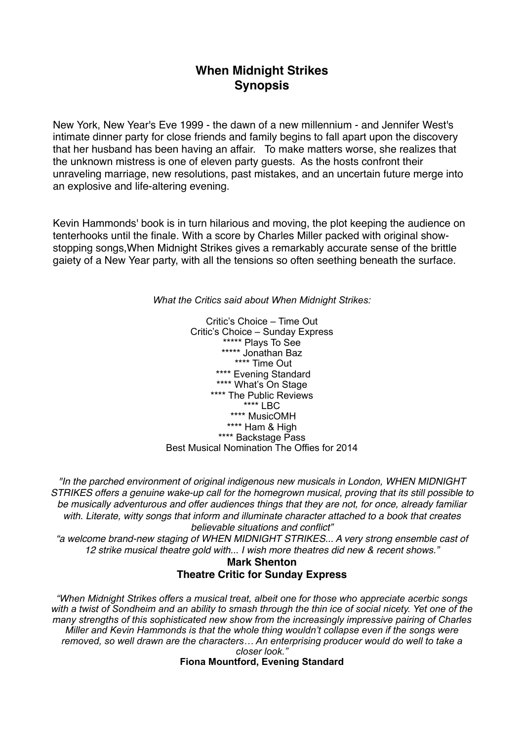# **When Midnight Strikes Synopsis**

New York, New Year's Eve 1999 - the dawn of a new millennium - and Jennifer West's intimate dinner party for close friends and family begins to fall apart upon the discovery that her husband has been having an affair. To make matters worse, she realizes that the unknown mistress is one of eleven party guests. As the hosts confront their unraveling marriage, new resolutions, past mistakes, and an uncertain future merge into an explosive and life-altering evening.

Kevin Hammonds' book is in turn hilarious and moving, the plot keeping the audience on tenterhooks until the finale. With a score by Charles Miller packed with original showstopping songs,When Midnight Strikes gives a remarkably accurate sense of the brittle gaiety of a New Year party, with all the tensions so often seething beneath the surface.

*What the Critics said about When Midnight Strikes:*

Critic's Choice – Time Out Critic's Choice – Sunday Express \*\*\*\*\* Plays To See \*\*\*\*\* Jonathan Baz \*\*\*\* Time Out \*\*\*\* Evening Standard \*\*\*\* What's On Stage \*\*\*\* The Public Reviews  $***$  LBC \*\*\*\* MusicOMH \*\*\*\* Ham & High \*\*\*\* Backstage Pass Best Musical Nomination The Offies for 2014

*"In the parched environment of original indigenous new musicals in London, WHEN MIDNIGHT STRIKES offers a genuine wake-up call for the homegrown musical, proving that its still possible to be musically adventurous and offer audiences things that they are not, for once, already familiar with. Literate, witty songs that inform and illuminate character attached to a book that creates believable situations and conflict"*

*"a welcome brand-new staging of WHEN MIDNIGHT STRIKES... A very strong ensemble cast of 12 strike musical theatre gold with... I wish more theatres did new & recent shows."*

### **Mark Shenton Theatre Critic for Sunday Express**

*"When Midnight Strikes offers a musical treat, albeit one for those who appreciate acerbic songs with a twist of Sondheim and an ability to smash through the thin ice of social nicety. Yet one of the many strengths of this sophisticated new show from the increasingly impressive pairing of Charles Miller and Kevin Hammonds is that the whole thing wouldn't collapse even if the songs were removed, so well drawn are the characters… An enterprising producer would do well to take a closer look."* 

**Fiona Mountford, Evening Standard**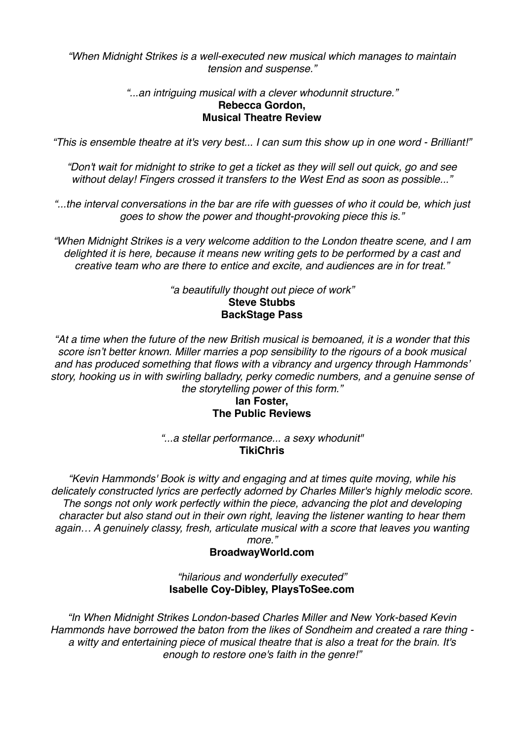*"When Midnight Strikes is a well-executed new musical which manages to maintain tension and suspense."*

### *"...an intriguing musical with a clever whodunnit structure."* **Rebecca Gordon, Musical Theatre Review**

*"This is ensemble theatre at it's very best... I can sum this show up in one word - Brilliant!"*

*"Don't wait for midnight to strike to get a ticket as they will sell out quick, go and see without delay! Fingers crossed it transfers to the West End as soon as possible..."*

*"...the interval conversations in the bar are rife with guesses of who it could be, which just goes to show the power and thought-provoking piece this is."*

*"When Midnight Strikes is a very welcome addition to the London theatre scene, and I am delighted it is here, because it means new writing gets to be performed by a cast and creative team who are there to entice and excite, and audiences are in for treat."*

### *"a beautifully thought out piece of work"* **Steve Stubbs BackStage Pass**

*"At a time when the future of the new British musical is bemoaned, it is a wonder that this score isn't better known. Miller marries a pop sensibility to the rigours of a book musical and has produced something that flows with a vibrancy and urgency through Hammonds' story, hooking us in with swirling balladry, perky comedic numbers, and a genuine sense of the storytelling power of this form."* 

## **Ian Foster, The Public Reviews**

*"...a stellar performance... a sexy whodunit"* **TikiChris**

*"Kevin Hammonds' Book is witty and engaging and at times quite moving, while his delicately constructed lyrics are perfectly adorned by Charles Miller's highly melodic score. The songs not only work perfectly within the piece, advancing the plot and developing character but also stand out in their own right, leaving the listener wanting to hear them again… A genuinely classy, fresh, articulate musical with a score that leaves you wanting more."* 

## **BroadwayWorld.com**

### *"hilarious and wonderfully executed"*  **Isabelle Coy-Dibley, PlaysToSee.com**

*"In When Midnight Strikes London-based Charles Miller and New York-based Kevin Hammonds have borrowed the baton from the likes of Sondheim and created a rare thing a witty and entertaining piece of musical theatre that is also a treat for the brain. It's enough to restore one's faith in the genre!"*